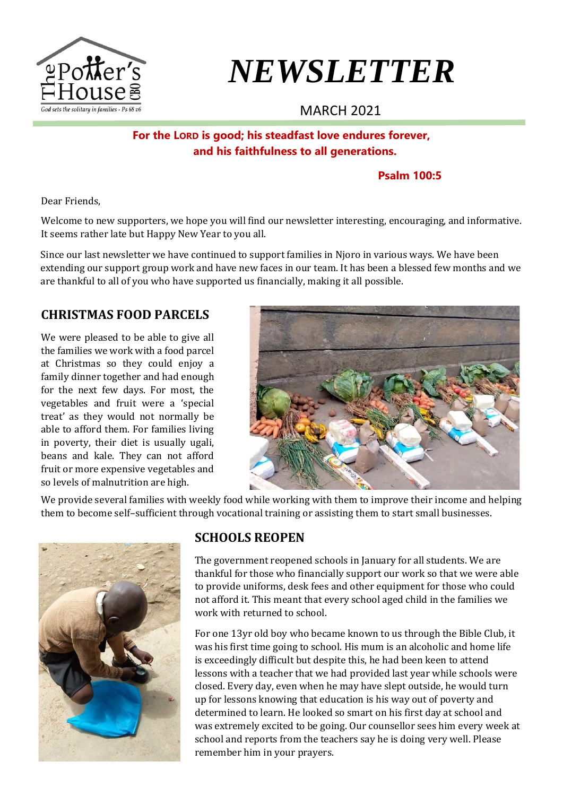

# *NEWSLETTER*

# MARCH 2021

**For the LORD is good; his steadfast love endures forever, and his faithfulness to all generations.**

#### **Psalm 100:5**

Dear Friends,

Welcome to new supporters, we hope you will find our newsletter interesting, encouraging, and informative. It seems rather late but Happy New Year to you all.

Since our last newsletter we have continued to support families in Njoro in various ways. We have been extending our support group work and have new faces in our team. It has been a blessed few months and we are thankful to all of you who have supported us financially, making it all possible.

## **CHRISTMAS FOOD PARCELS**

We were pleased to be able to give all the families we work with a food parcel at Christmas so they could enjoy a family dinner together and had enough for the next few days. For most, the vegetables and fruit were a 'special treat' as they would not normally be able to afford them. For families living in poverty, their diet is usually ugali, beans and kale. They can not afford fruit or more expensive vegetables and so levels of malnutrition are high.



We provide several families with weekly food while working with them to improve their income and helping them to become self–sufficient through vocational training or assisting them to start small businesses.



## **SCHOOLS REOPEN**

The government reopened schools in January for all students. We are thankful for those who financially support our work so that we were able to provide uniforms, desk fees and other equipment for those who could not afford it. This meant that every school aged child in the families we work with returned to school.

For one 13yr old boy who became known to us through the Bible Club, it was his first time going to school. His mum is an alcoholic and home life is exceedingly difficult but despite this, he had been keen to attend lessons with a teacher that we had provided last year while schools were closed. Every day, even when he may have slept outside, he would turn up for lessons knowing that education is his way out of poverty and determined to learn. He looked so smart on his first day at school and was extremely excited to be going. Our counsellor sees him every week at school and reports from the teachers say he is doing very well. Please remember him in your prayers.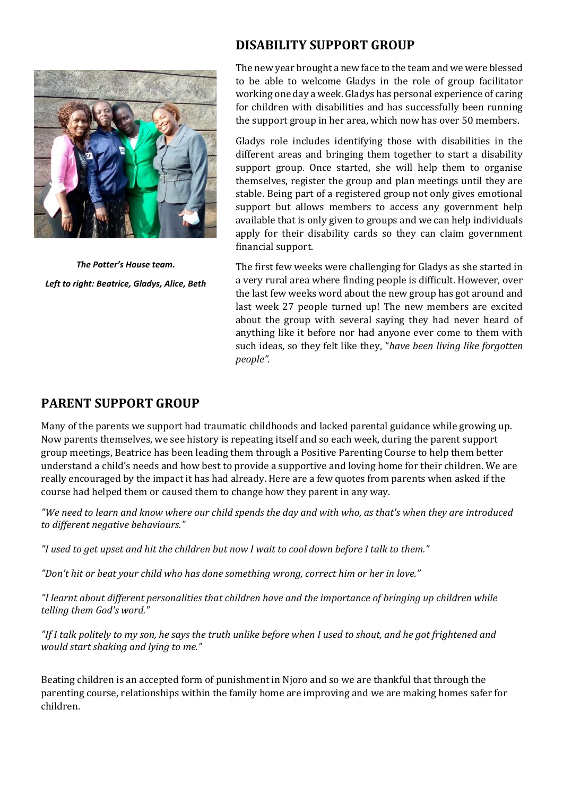

*The Potter's House team. Left to right: Beatrice, Gladys, Alice, Beth*

#### **DISABILITY SUPPORT GROUP**

The new year brought a new face to the team and we were blessed to be able to welcome Gladys in the role of group facilitator working one day a week. Gladys has personal experience of caring for children with disabilities and has successfully been running the support group in her area, which now has over 50 members.

Gladys role includes identifying those with disabilities in the different areas and bringing them together to start a disability support group. Once started, she will help them to organise themselves, register the group and plan meetings until they are stable. Being part of a registered group not only gives emotional support but allows members to access any government help available that is only given to groups and we can help individuals apply for their disability cards so they can claim government financial support.

The first few weeks were challenging for Gladys as she started in a very rural area where finding people is difficult. However, over the last few weeks word about the new group has got around and last week 27 people turned up! The new members are excited about the group with several saying they had never heard of anything like it before nor had anyone ever come to them with such ideas, so they felt like they, "*have been living like forgotten people".* 

#### **PARENT SUPPORT GROUP**

Many of the parents we support had traumatic childhoods and lacked parental guidance while growing up. Now parents themselves, we see history is repeating itself and so each week, during the parent support group meetings, Beatrice has been leading them through a Positive Parenting Course to help them better understand a child's needs and how best to provide a supportive and loving home for their children. We are really encouraged by the impact it has had already. Here are a few quotes from parents when asked if the course had helped them or caused them to change how they parent in any way.

*"We need to learn and know where our child spends the day and with who, as that's when they are introduced to different negative behaviours."*

*"I used to get upset and hit the children but now I wait to cool down before I talk to them."*

*"Don't hit or beat your child who has done something wrong, correct him or her in love."*

*"I learnt about different personalities that children have and the importance of bringing up children while telling them God's word."*

*"If I talk politely to my son, he says the truth unlike before when I used to shout, and he got frightened and would start shaking and lying to me."*

Beating children is an accepted form of punishment in Njoro and so we are thankful that through the parenting course, relationships within the family home are improving and we are making homes safer for children.